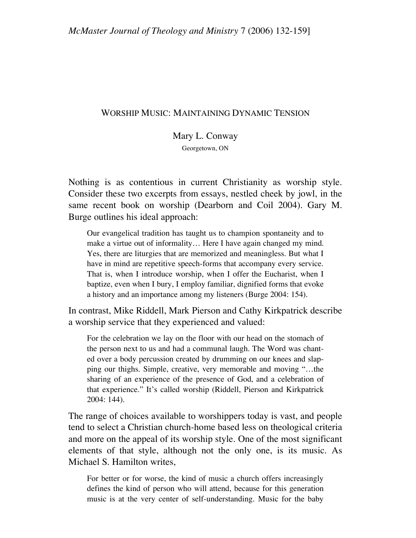# WORSHIP MUSIC: MAINTAINING DYNAMIC TENSION

# Mary L. Conway

Georgetown, ON

Nothing is as contentious in current Christianity as worship style. Consider these two excerpts from essays, nestled cheek by jowl, in the same recent book on worship (Dearborn and Coil 2004). Gary M. Burge outlines his ideal approach:

Our evangelical tradition has taught us to champion spontaneity and to make a virtue out of informality… Here I have again changed my mind. Yes, there are liturgies that are memorized and meaningless. But what I have in mind are repetitive speech-forms that accompany every service. That is, when I introduce worship, when I offer the Eucharist, when I baptize, even when I bury, I employ familiar, dignified forms that evoke a history and an importance among my listeners (Burge 2004: 154).

In contrast, Mike Riddell, Mark Pierson and Cathy Kirkpatrick describe a worship service that they experienced and valued:

For the celebration we lay on the floor with our head on the stomach of the person next to us and had a communal laugh. The Word was chanted over a body percussion created by drumming on our knees and slapping our thighs. Simple, creative, very memorable and moving "…the sharing of an experience of the presence of God, and a celebration of that experience." It's called worship (Riddell, Pierson and Kirkpatrick 2004: 144).

The range of choices available to worshippers today is vast, and people tend to select a Christian church-home based less on theological criteria and more on the appeal of its worship style. One of the most significant elements of that style, although not the only one, is its music. As Michael S. Hamilton writes,

For better or for worse, the kind of music a church offers increasingly defines the kind of person who will attend, because for this generation music is at the very center of self-understanding. Music for the baby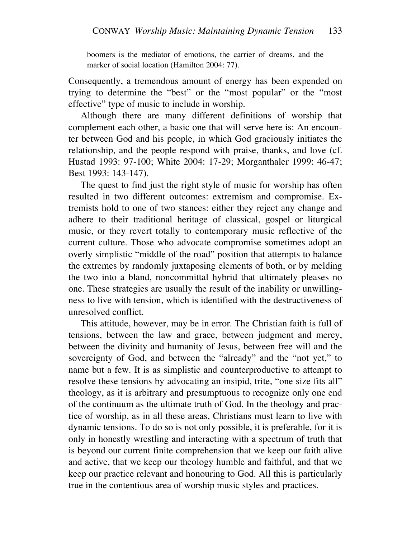boomers is the mediator of emotions, the carrier of dreams, and the marker of social location (Hamilton 2004: 77).

Consequently, a tremendous amount of energy has been expended on trying to determine the "best" or the "most popular" or the "most effective" type of music to include in worship.

Although there are many different definitions of worship that complement each other, a basic one that will serve here is: An encounter between God and his people, in which God graciously initiates the relationship, and the people respond with praise, thanks, and love (cf. Hustad 1993: 97-100; White 2004: 17-29; Morganthaler 1999: 46-47; Best 1993: 143-147).

The quest to find just the right style of music for worship has often resulted in two different outcomes: extremism and compromise. Extremists hold to one of two stances: either they reject any change and adhere to their traditional heritage of classical, gospel or liturgical music, or they revert totally to contemporary music reflective of the current culture. Those who advocate compromise sometimes adopt an overly simplistic "middle of the road" position that attempts to balance the extremes by randomly juxtaposing elements of both, or by melding the two into a bland, noncommittal hybrid that ultimately pleases no one. These strategies are usually the result of the inability or unwillingness to live with tension, which is identified with the destructiveness of unresolved conflict.

This attitude, however, may be in error. The Christian faith is full of tensions, between the law and grace, between judgment and mercy, between the divinity and humanity of Jesus, between free will and the sovereignty of God, and between the "already" and the "not yet," to name but a few. It is as simplistic and counterproductive to attempt to resolve these tensions by advocating an insipid, trite, "one size fits all" theology, as it is arbitrary and presumptuous to recognize only one end of the continuum as the ultimate truth of God. In the theology and practice of worship, as in all these areas, Christians must learn to live with dynamic tensions. To do so is not only possible, it is preferable, for it is only in honestly wrestling and interacting with a spectrum of truth that is beyond our current finite comprehension that we keep our faith alive and active, that we keep our theology humble and faithful, and that we keep our practice relevant and honouring to God. All this is particularly true in the contentious area of worship music styles and practices.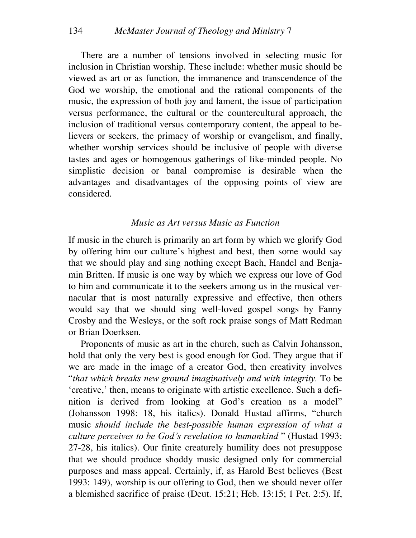There are a number of tensions involved in selecting music for inclusion in Christian worship. These include: whether music should be viewed as art or as function, the immanence and transcendence of the God we worship, the emotional and the rational components of the music, the expression of both joy and lament, the issue of participation versus performance, the cultural or the countercultural approach, the inclusion of traditional versus contemporary content, the appeal to believers or seekers, the primacy of worship or evangelism, and finally, whether worship services should be inclusive of people with diverse tastes and ages or homogenous gatherings of like-minded people. No simplistic decision or banal compromise is desirable when the advantages and disadvantages of the opposing points of view are considered.

#### *Music as Art versus Music as Function*

If music in the church is primarily an art form by which we glorify God by offering him our culture's highest and best, then some would say that we should play and sing nothing except Bach, Handel and Benjamin Britten. If music is one way by which we express our love of God to him and communicate it to the seekers among us in the musical vernacular that is most naturally expressive and effective, then others would say that we should sing well-loved gospel songs by Fanny Crosby and the Wesleys, or the soft rock praise songs of Matt Redman or Brian Doerksen.

Proponents of music as art in the church, such as Calvin Johansson, hold that only the very best is good enough for God. They argue that if we are made in the image of a creator God, then creativity involves "*that which breaks new ground imaginatively and with integrity.* To be 'creative,' then, means to originate with artistic excellence. Such a definition is derived from looking at God's creation as a model" (Johansson 1998: 18, his italics). Donald Hustad affirms, "church music *should include the best-possible human expression of what a culture perceives to be God's revelation to humankind* " (Hustad 1993: 27-28, his italics). Our finite creaturely humility does not presuppose that we should produce shoddy music designed only for commercial purposes and mass appeal. Certainly, if, as Harold Best believes (Best 1993: 149), worship is our offering to God, then we should never offer a blemished sacrifice of praise (Deut. 15:21; Heb. 13:15; 1 Pet. 2:5). If,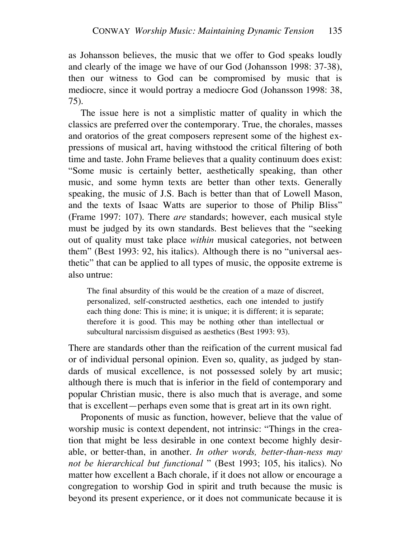as Johansson believes, the music that we offer to God speaks loudly and clearly of the image we have of our God (Johansson 1998: 37-38), then our witness to God can be compromised by music that is mediocre, since it would portray a mediocre God (Johansson 1998: 38, 75).

The issue here is not a simplistic matter of quality in which the classics are preferred over the contemporary. True, the chorales, masses and oratorios of the great composers represent some of the highest expressions of musical art, having withstood the critical filtering of both time and taste. John Frame believes that a quality continuum does exist: "Some music is certainly better, aesthetically speaking, than other music, and some hymn texts are better than other texts. Generally speaking, the music of J.S. Bach is better than that of Lowell Mason, and the texts of Isaac Watts are superior to those of Philip Bliss" (Frame 1997: 107). There *are* standards; however, each musical style must be judged by its own standards. Best believes that the "seeking out of quality must take place *within* musical categories, not between them" (Best 1993: 92, his italics). Although there is no "universal aesthetic" that can be applied to all types of music, the opposite extreme is also untrue:

The final absurdity of this would be the creation of a maze of discreet, personalized, self-constructed aesthetics, each one intended to justify each thing done: This is mine; it is unique; it is different; it is separate; therefore it is good. This may be nothing other than intellectual or subcultural narcissism disguised as aesthetics (Best 1993: 93).

There are standards other than the reification of the current musical fad or of individual personal opinion. Even so, quality, as judged by standards of musical excellence, is not possessed solely by art music; although there is much that is inferior in the field of contemporary and popular Christian music, there is also much that is average, and some that is excellent—perhaps even some that is great art in its own right.

Proponents of music as function, however, believe that the value of worship music is context dependent, not intrinsic: "Things in the creation that might be less desirable in one context become highly desirable, or better-than, in another. *In other words, better-than-ness may not be hierarchical but functional* " (Best 1993; 105, his italics). No matter how excellent a Bach chorale, if it does not allow or encourage a congregation to worship God in spirit and truth because the music is beyond its present experience, or it does not communicate because it is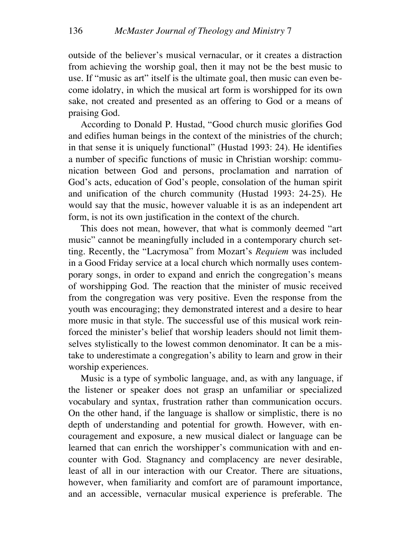outside of the believer's musical vernacular, or it creates a distraction from achieving the worship goal, then it may not be the best music to use. If "music as art" itself is the ultimate goal, then music can even become idolatry, in which the musical art form is worshipped for its own sake, not created and presented as an offering to God or a means of praising God.

According to Donald P. Hustad, "Good church music glorifies God and edifies human beings in the context of the ministries of the church; in that sense it is uniquely functional" (Hustad 1993: 24). He identifies a number of specific functions of music in Christian worship: communication between God and persons, proclamation and narration of God's acts, education of God's people, consolation of the human spirit and unification of the church community (Hustad 1993: 24-25). He would say that the music, however valuable it is as an independent art form, is not its own justification in the context of the church.

This does not mean, however, that what is commonly deemed "art music" cannot be meaningfully included in a contemporary church setting. Recently, the "Lacrymosa" from Mozart's *Requiem* was included in a Good Friday service at a local church which normally uses contemporary songs, in order to expand and enrich the congregation's means of worshipping God. The reaction that the minister of music received from the congregation was very positive. Even the response from the youth was encouraging; they demonstrated interest and a desire to hear more music in that style. The successful use of this musical work reinforced the minister's belief that worship leaders should not limit themselves stylistically to the lowest common denominator. It can be a mistake to underestimate a congregation's ability to learn and grow in their worship experiences.

Music is a type of symbolic language, and, as with any language, if the listener or speaker does not grasp an unfamiliar or specialized vocabulary and syntax, frustration rather than communication occurs. On the other hand, if the language is shallow or simplistic, there is no depth of understanding and potential for growth. However, with encouragement and exposure, a new musical dialect or language can be learned that can enrich the worshipper's communication with and encounter with God. Stagnancy and complacency are never desirable, least of all in our interaction with our Creator. There are situations, however, when familiarity and comfort are of paramount importance, and an accessible, vernacular musical experience is preferable. The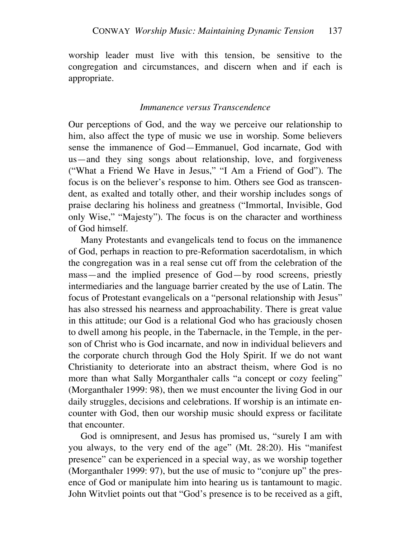worship leader must live with this tension, be sensitive to the congregation and circumstances, and discern when and if each is appropriate.

## *Immanence versus Transcendence*

Our perceptions of God, and the way we perceive our relationship to him, also affect the type of music we use in worship. Some believers sense the immanence of God—Emmanuel, God incarnate, God with us—and they sing songs about relationship, love, and forgiveness ("What a Friend We Have in Jesus," "I Am a Friend of God"). The focus is on the believer's response to him. Others see God as transcendent, as exalted and totally other, and their worship includes songs of praise declaring his holiness and greatness ("Immortal, Invisible, God only Wise," "Majesty"). The focus is on the character and worthiness of God himself.

Many Protestants and evangelicals tend to focus on the immanence of God, perhaps in reaction to pre-Reformation sacerdotalism, in which the congregation was in a real sense cut off from the celebration of the mass—and the implied presence of God—by rood screens, priestly intermediaries and the language barrier created by the use of Latin. The focus of Protestant evangelicals on a "personal relationship with Jesus" has also stressed his nearness and approachability. There is great value in this attitude; our God is a relational God who has graciously chosen to dwell among his people, in the Tabernacle, in the Temple, in the person of Christ who is God incarnate, and now in individual believers and the corporate church through God the Holy Spirit. If we do not want Christianity to deteriorate into an abstract theism, where God is no more than what Sally Morganthaler calls "a concept or cozy feeling" (Morganthaler 1999: 98), then we must encounter the living God in our daily struggles, decisions and celebrations. If worship is an intimate encounter with God, then our worship music should express or facilitate that encounter.

God is omnipresent, and Jesus has promised us, "surely I am with you always, to the very end of the age" (Mt. 28:20). His "manifest presence" can be experienced in a special way, as we worship together (Morganthaler 1999: 97), but the use of music to "conjure up" the presence of God or manipulate him into hearing us is tantamount to magic. John Witvliet points out that "God's presence is to be received as a gift,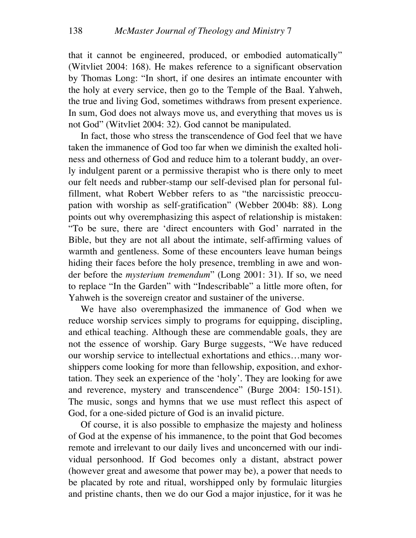that it cannot be engineered, produced, or embodied automatically" (Witvliet 2004: 168). He makes reference to a significant observation by Thomas Long: "In short, if one desires an intimate encounter with the holy at every service, then go to the Temple of the Baal. Yahweh, the true and living God, sometimes withdraws from present experience. In sum, God does not always move us, and everything that moves us is not God" (Witvliet 2004: 32). God cannot be manipulated.

In fact, those who stress the transcendence of God feel that we have taken the immanence of God too far when we diminish the exalted holiness and otherness of God and reduce him to a tolerant buddy, an overly indulgent parent or a permissive therapist who is there only to meet our felt needs and rubber-stamp our self-devised plan for personal fulfillment, what Robert Webber refers to as "the narcissistic preoccupation with worship as self-gratification" (Webber 2004b: 88). Long points out why overemphasizing this aspect of relationship is mistaken: "To be sure, there are 'direct encounters with God' narrated in the Bible, but they are not all about the intimate, self-affirming values of warmth and gentleness. Some of these encounters leave human beings hiding their faces before the holy presence, trembling in awe and wonder before the *mysterium tremendum*" (Long 2001: 31). If so, we need to replace "In the Garden" with "Indescribable" a little more often, for Yahweh is the sovereign creator and sustainer of the universe.

We have also overemphasized the immanence of God when we reduce worship services simply to programs for equipping, discipling, and ethical teaching. Although these are commendable goals, they are not the essence of worship. Gary Burge suggests, "We have reduced our worship service to intellectual exhortations and ethics…many worshippers come looking for more than fellowship, exposition, and exhortation. They seek an experience of the 'holy'. They are looking for awe and reverence, mystery and transcendence" (Burge 2004: 150-151). The music, songs and hymns that we use must reflect this aspect of God, for a one-sided picture of God is an invalid picture.

Of course, it is also possible to emphasize the majesty and holiness of God at the expense of his immanence, to the point that God becomes remote and irrelevant to our daily lives and unconcerned with our individual personhood. If God becomes only a distant, abstract power (however great and awesome that power may be), a power that needs to be placated by rote and ritual, worshipped only by formulaic liturgies and pristine chants, then we do our God a major injustice, for it was he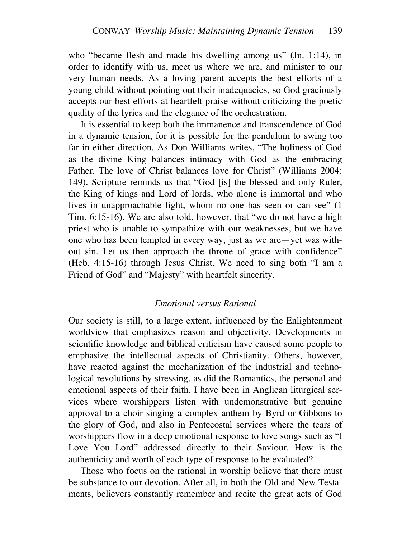who "became flesh and made his dwelling among us" (Jn. 1:14), in order to identify with us, meet us where we are, and minister to our very human needs. As a loving parent accepts the best efforts of a young child without pointing out their inadequacies, so God graciously accepts our best efforts at heartfelt praise without criticizing the poetic quality of the lyrics and the elegance of the orchestration.

It is essential to keep both the immanence and transcendence of God in a dynamic tension, for it is possible for the pendulum to swing too far in either direction. As Don Williams writes, "The holiness of God as the divine King balances intimacy with God as the embracing Father. The love of Christ balances love for Christ" (Williams 2004: 149). Scripture reminds us that "God [is] the blessed and only Ruler, the King of kings and Lord of lords, who alone is immortal and who lives in unapproachable light, whom no one has seen or can see" (1 Tim. 6:15-16). We are also told, however, that "we do not have a high priest who is unable to sympathize with our weaknesses, but we have one who has been tempted in every way, just as we are—yet was without sin. Let us then approach the throne of grace with confidence" (Heb. 4:15-16) through Jesus Christ. We need to sing both "I am a Friend of God" and "Majesty" with heartfelt sincerity.

#### *Emotional versus Rational*

Our society is still, to a large extent, influenced by the Enlightenment worldview that emphasizes reason and objectivity. Developments in scientific knowledge and biblical criticism have caused some people to emphasize the intellectual aspects of Christianity. Others, however, have reacted against the mechanization of the industrial and technological revolutions by stressing, as did the Romantics, the personal and emotional aspects of their faith. I have been in Anglican liturgical services where worshippers listen with undemonstrative but genuine approval to a choir singing a complex anthem by Byrd or Gibbons to the glory of God, and also in Pentecostal services where the tears of worshippers flow in a deep emotional response to love songs such as "I Love You Lord" addressed directly to their Saviour. How is the authenticity and worth of each type of response to be evaluated?

Those who focus on the rational in worship believe that there must be substance to our devotion. After all, in both the Old and New Testaments, believers constantly remember and recite the great acts of God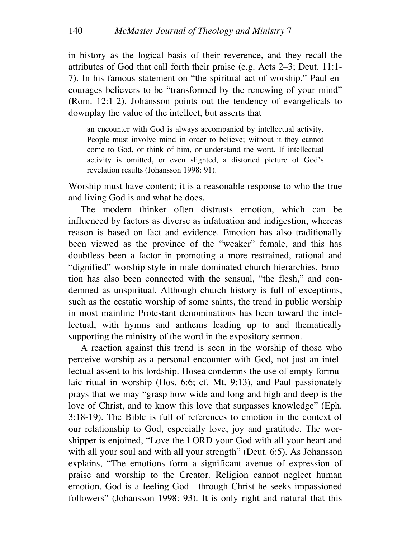in history as the logical basis of their reverence, and they recall the attributes of God that call forth their praise (e.g. Acts 2–3; Deut. 11:1- 7). In his famous statement on "the spiritual act of worship," Paul encourages believers to be "transformed by the renewing of your mind" (Rom. 12:1-2). Johansson points out the tendency of evangelicals to downplay the value of the intellect, but asserts that

an encounter with God is always accompanied by intellectual activity. People must involve mind in order to believe; without it they cannot come to God, or think of him, or understand the word. If intellectual activity is omitted, or even slighted, a distorted picture of God's revelation results (Johansson 1998: 91).

Worship must have content; it is a reasonable response to who the true and living God is and what he does.

The modern thinker often distrusts emotion, which can be influenced by factors as diverse as infatuation and indigestion, whereas reason is based on fact and evidence. Emotion has also traditionally been viewed as the province of the "weaker" female, and this has doubtless been a factor in promoting a more restrained, rational and "dignified" worship style in male-dominated church hierarchies. Emotion has also been connected with the sensual, "the flesh," and condemned as unspiritual. Although church history is full of exceptions, such as the ecstatic worship of some saints, the trend in public worship in most mainline Protestant denominations has been toward the intellectual, with hymns and anthems leading up to and thematically supporting the ministry of the word in the expository sermon.

A reaction against this trend is seen in the worship of those who perceive worship as a personal encounter with God, not just an intellectual assent to his lordship. Hosea condemns the use of empty formulaic ritual in worship (Hos. 6:6; cf. Mt. 9:13), and Paul passionately prays that we may "grasp how wide and long and high and deep is the love of Christ, and to know this love that surpasses knowledge" (Eph. 3:18-19). The Bible is full of references to emotion in the context of our relationship to God, especially love, joy and gratitude. The worshipper is enjoined, "Love the LORD your God with all your heart and with all your soul and with all your strength" (Deut. 6:5). As Johansson explains, "The emotions form a significant avenue of expression of praise and worship to the Creator. Religion cannot neglect human emotion. God is a feeling God—through Christ he seeks impassioned followers" (Johansson 1998: 93). It is only right and natural that this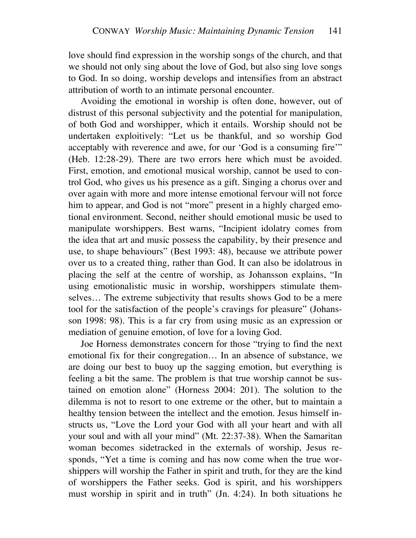love should find expression in the worship songs of the church, and that we should not only sing about the love of God, but also sing love songs to God. In so doing, worship develops and intensifies from an abstract attribution of worth to an intimate personal encounter.

Avoiding the emotional in worship is often done, however, out of distrust of this personal subjectivity and the potential for manipulation, of both God and worshipper, which it entails. Worship should not be undertaken exploitively: "Let us be thankful, and so worship God acceptably with reverence and awe, for our 'God is a consuming fire'" (Heb. 12:28-29). There are two errors here which must be avoided. First, emotion, and emotional musical worship, cannot be used to control God, who gives us his presence as a gift. Singing a chorus over and over again with more and more intense emotional fervour will not force him to appear, and God is not "more" present in a highly charged emotional environment. Second, neither should emotional music be used to manipulate worshippers. Best warns, "Incipient idolatry comes from the idea that art and music possess the capability, by their presence and use, to shape behaviours" (Best 1993: 48), because we attribute power over us to a created thing, rather than God. It can also be idolatrous in placing the self at the centre of worship, as Johansson explains, "In using emotionalistic music in worship, worshippers stimulate themselves… The extreme subjectivity that results shows God to be a mere tool for the satisfaction of the people's cravings for pleasure" (Johansson 1998: 98). This is a far cry from using music as an expression or mediation of genuine emotion, of love for a loving God.

Joe Horness demonstrates concern for those "trying to find the next emotional fix for their congregation… In an absence of substance, we are doing our best to buoy up the sagging emotion, but everything is feeling a bit the same. The problem is that true worship cannot be sustained on emotion alone" (Horness 2004: 201). The solution to the dilemma is not to resort to one extreme or the other, but to maintain a healthy tension between the intellect and the emotion. Jesus himself instructs us, "Love the Lord your God with all your heart and with all your soul and with all your mind" (Mt. 22:37-38). When the Samaritan woman becomes sidetracked in the externals of worship, Jesus responds, "Yet a time is coming and has now come when the true worshippers will worship the Father in spirit and truth, for they are the kind of worshippers the Father seeks. God is spirit, and his worshippers must worship in spirit and in truth" (Jn. 4:24). In both situations he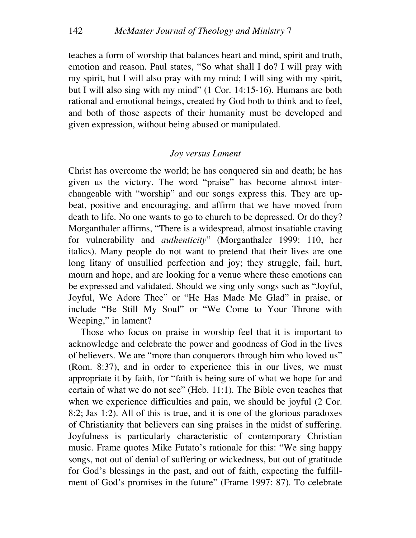teaches a form of worship that balances heart and mind, spirit and truth, emotion and reason. Paul states, "So what shall I do? I will pray with my spirit, but I will also pray with my mind; I will sing with my spirit, but I will also sing with my mind" (1 Cor. 14:15-16). Humans are both rational and emotional beings, created by God both to think and to feel, and both of those aspects of their humanity must be developed and given expression, without being abused or manipulated.

# *Joy versus Lament*

Christ has overcome the world; he has conquered sin and death; he has given us the victory. The word "praise" has become almost interchangeable with "worship" and our songs express this. They are upbeat, positive and encouraging, and affirm that we have moved from death to life. No one wants to go to church to be depressed. Or do they? Morganthaler affirms, "There is a widespread, almost insatiable craving for vulnerability and *authenticity*" (Morganthaler 1999: 110, her italics). Many people do not want to pretend that their lives are one long litany of unsullied perfection and joy; they struggle, fail, hurt, mourn and hope, and are looking for a venue where these emotions can be expressed and validated. Should we sing only songs such as "Joyful, Joyful, We Adore Thee" or "He Has Made Me Glad" in praise, or include "Be Still My Soul" or "We Come to Your Throne with Weeping," in lament?

Those who focus on praise in worship feel that it is important to acknowledge and celebrate the power and goodness of God in the lives of believers. We are "more than conquerors through him who loved us" (Rom. 8:37), and in order to experience this in our lives, we must appropriate it by faith, for "faith is being sure of what we hope for and certain of what we do not see" (Heb. 11:1). The Bible even teaches that when we experience difficulties and pain, we should be joyful (2 Cor. 8:2; Jas 1:2). All of this is true, and it is one of the glorious paradoxes of Christianity that believers can sing praises in the midst of suffering. Joyfulness is particularly characteristic of contemporary Christian music. Frame quotes Mike Futato's rationale for this: "We sing happy songs, not out of denial of suffering or wickedness, but out of gratitude for God's blessings in the past, and out of faith, expecting the fulfillment of God's promises in the future" (Frame 1997: 87). To celebrate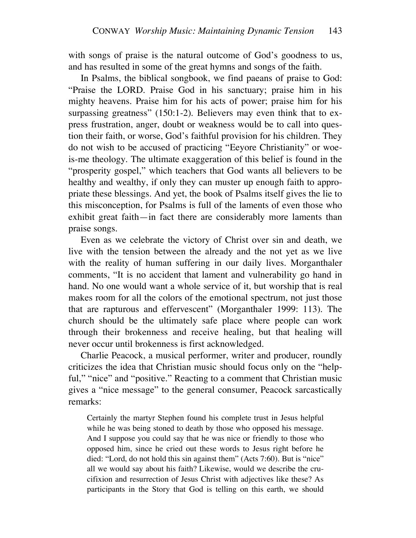with songs of praise is the natural outcome of God's goodness to us, and has resulted in some of the great hymns and songs of the faith.

In Psalms, the biblical songbook, we find paeans of praise to God: "Praise the LORD. Praise God in his sanctuary; praise him in his mighty heavens. Praise him for his acts of power; praise him for his surpassing greatness" (150:1-2). Believers may even think that to express frustration, anger, doubt or weakness would be to call into question their faith, or worse, God's faithful provision for his children. They do not wish to be accused of practicing "Eeyore Christianity" or woeis-me theology. The ultimate exaggeration of this belief is found in the "prosperity gospel," which teachers that God wants all believers to be healthy and wealthy, if only they can muster up enough faith to appropriate these blessings. And yet, the book of Psalms itself gives the lie to this misconception, for Psalms is full of the laments of even those who exhibit great faith—in fact there are considerably more laments than praise songs.

Even as we celebrate the victory of Christ over sin and death, we live with the tension between the already and the not yet as we live with the reality of human suffering in our daily lives. Morganthaler comments, "It is no accident that lament and vulnerability go hand in hand. No one would want a whole service of it, but worship that is real makes room for all the colors of the emotional spectrum, not just those that are rapturous and effervescent" (Morganthaler 1999: 113). The church should be the ultimately safe place where people can work through their brokenness and receive healing, but that healing will never occur until brokenness is first acknowledged.

Charlie Peacock, a musical performer, writer and producer, roundly criticizes the idea that Christian music should focus only on the "helpful," "nice" and "positive." Reacting to a comment that Christian music gives a "nice message" to the general consumer, Peacock sarcastically remarks:

Certainly the martyr Stephen found his complete trust in Jesus helpful while he was being stoned to death by those who opposed his message. And I suppose you could say that he was nice or friendly to those who opposed him, since he cried out these words to Jesus right before he died: "Lord, do not hold this sin against them" (Acts 7:60). But is "nice" all we would say about his faith? Likewise, would we describe the crucifixion and resurrection of Jesus Christ with adjectives like these? As participants in the Story that God is telling on this earth, we should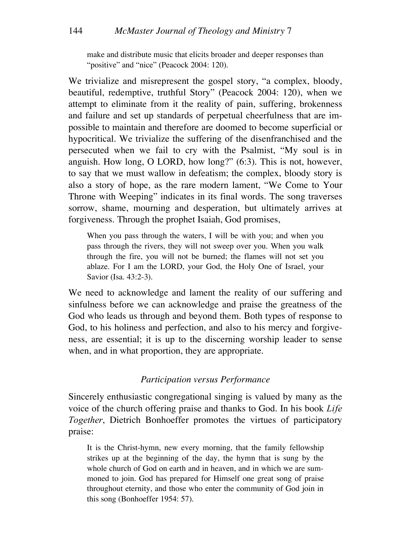make and distribute music that elicits broader and deeper responses than "positive" and "nice" (Peacock 2004: 120).

We trivialize and misrepresent the gospel story, "a complex, bloody, beautiful, redemptive, truthful Story" (Peacock 2004: 120), when we attempt to eliminate from it the reality of pain, suffering, brokenness and failure and set up standards of perpetual cheerfulness that are impossible to maintain and therefore are doomed to become superficial or hypocritical. We trivialize the suffering of the disenfranchised and the persecuted when we fail to cry with the Psalmist, "My soul is in anguish. How long, O LORD, how long?" (6:3). This is not, however, to say that we must wallow in defeatism; the complex, bloody story is also a story of hope, as the rare modern lament, "We Come to Your Throne with Weeping" indicates in its final words. The song traverses sorrow, shame, mourning and desperation, but ultimately arrives at forgiveness. Through the prophet Isaiah, God promises,

When you pass through the waters, I will be with you; and when you pass through the rivers, they will not sweep over you. When you walk through the fire, you will not be burned; the flames will not set you ablaze. For I am the LORD, your God, the Holy One of Israel, your Savior (Isa. 43:2-3).

We need to acknowledge and lament the reality of our suffering and sinfulness before we can acknowledge and praise the greatness of the God who leads us through and beyond them. Both types of response to God, to his holiness and perfection, and also to his mercy and forgiveness, are essential; it is up to the discerning worship leader to sense when, and in what proportion, they are appropriate.

#### *Participation versus Performance*

Sincerely enthusiastic congregational singing is valued by many as the voice of the church offering praise and thanks to God. In his book *Life Together*, Dietrich Bonhoeffer promotes the virtues of participatory praise:

It is the Christ-hymn, new every morning, that the family fellowship strikes up at the beginning of the day, the hymn that is sung by the whole church of God on earth and in heaven, and in which we are summoned to join. God has prepared for Himself one great song of praise throughout eternity, and those who enter the community of God join in this song (Bonhoeffer 1954: 57).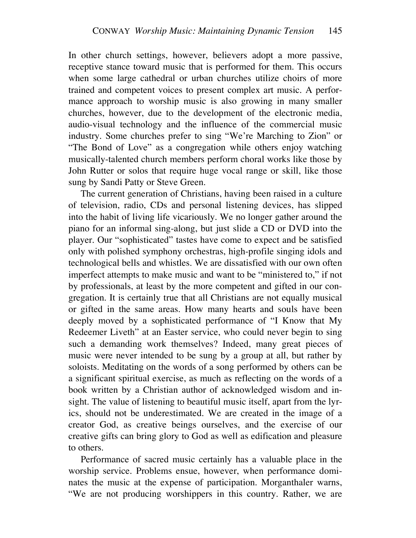In other church settings, however, believers adopt a more passive, receptive stance toward music that is performed for them. This occurs when some large cathedral or urban churches utilize choirs of more trained and competent voices to present complex art music. A performance approach to worship music is also growing in many smaller churches, however, due to the development of the electronic media, audio-visual technology and the influence of the commercial music industry. Some churches prefer to sing "We're Marching to Zion" or "The Bond of Love" as a congregation while others enjoy watching musically-talented church members perform choral works like those by John Rutter or solos that require huge vocal range or skill, like those sung by Sandi Patty or Steve Green.

The current generation of Christians, having been raised in a culture of television, radio, CDs and personal listening devices, has slipped into the habit of living life vicariously. We no longer gather around the piano for an informal sing-along, but just slide a CD or DVD into the player. Our "sophisticated" tastes have come to expect and be satisfied only with polished symphony orchestras, high-profile singing idols and technological bells and whistles. We are dissatisfied with our own often imperfect attempts to make music and want to be "ministered to," if not by professionals, at least by the more competent and gifted in our congregation. It is certainly true that all Christians are not equally musical or gifted in the same areas. How many hearts and souls have been deeply moved by a sophisticated performance of "I Know that My Redeemer Liveth" at an Easter service, who could never begin to sing such a demanding work themselves? Indeed, many great pieces of music were never intended to be sung by a group at all, but rather by soloists. Meditating on the words of a song performed by others can be a significant spiritual exercise, as much as reflecting on the words of a book written by a Christian author of acknowledged wisdom and insight. The value of listening to beautiful music itself, apart from the lyrics, should not be underestimated. We are created in the image of a creator God, as creative beings ourselves, and the exercise of our creative gifts can bring glory to God as well as edification and pleasure to others.

Performance of sacred music certainly has a valuable place in the worship service. Problems ensue, however, when performance dominates the music at the expense of participation. Morganthaler warns, "We are not producing worshippers in this country. Rather, we are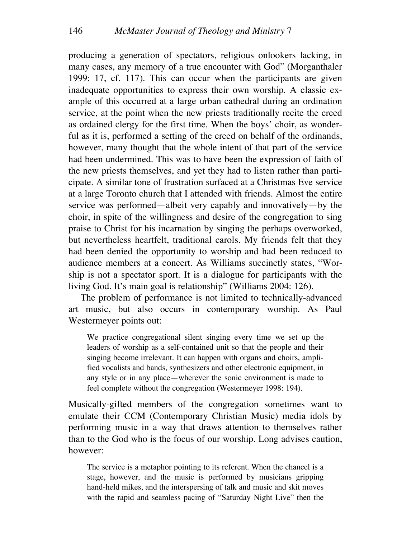producing a generation of spectators, religious onlookers lacking, in many cases, any memory of a true encounter with God" (Morganthaler 1999: 17, cf. 117). This can occur when the participants are given inadequate opportunities to express their own worship. A classic example of this occurred at a large urban cathedral during an ordination service, at the point when the new priests traditionally recite the creed as ordained clergy for the first time. When the boys' choir, as wonderful as it is, performed a setting of the creed on behalf of the ordinands, however, many thought that the whole intent of that part of the service had been undermined. This was to have been the expression of faith of the new priests themselves, and yet they had to listen rather than participate. A similar tone of frustration surfaced at a Christmas Eve service at a large Toronto church that I attended with friends. Almost the entire service was performed—albeit very capably and innovatively—by the choir, in spite of the willingness and desire of the congregation to sing praise to Christ for his incarnation by singing the perhaps overworked, but nevertheless heartfelt, traditional carols. My friends felt that they had been denied the opportunity to worship and had been reduced to audience members at a concert. As Williams succinctly states, "Worship is not a spectator sport. It is a dialogue for participants with the living God. It's main goal is relationship" (Williams 2004: 126).

The problem of performance is not limited to technically-advanced art music, but also occurs in contemporary worship. As Paul Westermeyer points out:

We practice congregational silent singing every time we set up the leaders of worship as a self-contained unit so that the people and their singing become irrelevant. It can happen with organs and choirs, amplified vocalists and bands, synthesizers and other electronic equipment, in any style or in any place—wherever the sonic environment is made to feel complete without the congregation (Westermeyer 1998: 194).

Musically-gifted members of the congregation sometimes want to emulate their CCM (Contemporary Christian Music) media idols by performing music in a way that draws attention to themselves rather than to the God who is the focus of our worship. Long advises caution, however:

The service is a metaphor pointing to its referent. When the chancel is a stage, however, and the music is performed by musicians gripping hand-held mikes, and the interspersing of talk and music and skit moves with the rapid and seamless pacing of "Saturday Night Live" then the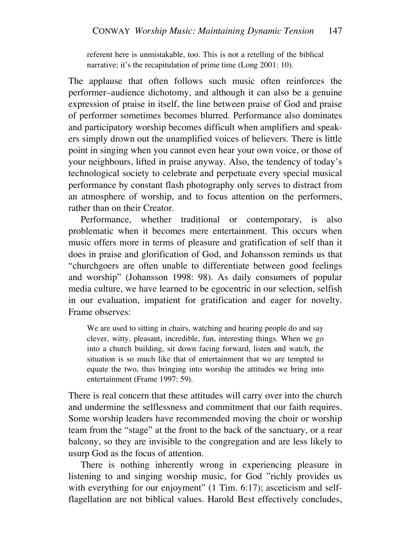referent here is unmistakable, too. This is not a retelling of the biblical narrative; it's the recapitulation of prime time (Long 2001: 10).

The applause that often follows such music often reinforces the performer–audience dichotomy, and although it can also be a genuine expression of praise in itself, the line between praise of God and praise of performer sometimes becomes blurred. Performance also dominates and participatory worship becomes difficult when amplifiers and speakers simply drown out the unamplified voices of believers. There is little point in singing when you cannot even hear your own voice, or those of your neighbours, lifted in praise anyway. Also, the tendency of today's technological society to celebrate and perpetuate every special musical performance by constant flash photography only serves to distract from an atmosphere of worship, and to focus attention on the performers, rather than on their Creator.

Performance, whether traditional or contemporary, is also problematic when it becomes mere entertainment. This occurs when music offers more in terms of pleasure and gratification of self than it does in praise and glorification of God, and Johansson reminds us that "churchgoers are often unable to differentiate between good feelings and worship" (Johansson 1998: 98). As daily consumers of popular media culture, we have learned to be egocentric in our selection, selfish in our evaluation, impatient for gratification and eager for novelty. Frame observes:

We are used to sitting in chairs, watching and hearing people do and say clever, witty, pleasant, incredible, fun, interesting things. When we go into a church building, sit down facing forward, listen and watch, the situation is so much like that of entertainment that we are tempted to equate the two, thus bringing into worship the attitudes we bring into entertainment (Frame 1997: 59).

There is real concern that these attitudes will carry over into the church and undermine the selflessness and commitment that our faith requires. Some worship leaders have recommended moving the choir or worship team from the "stage" at the front to the back of the sanctuary, or a rear balcony, so they are invisible to the congregation and are less likely to usurp God as the focus of attention.

There is nothing inherently wrong in experiencing pleasure in listening to and singing worship music, for God "richly provides us with everything for our enjoyment" (1 Tim. 6:17); asceticism and selfflagellation are not biblical values. Harold Best effectively concludes,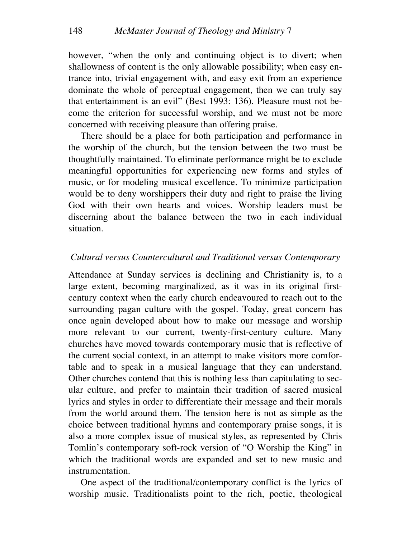however, "when the only and continuing object is to divert; when shallowness of content is the only allowable possibility; when easy entrance into, trivial engagement with, and easy exit from an experience dominate the whole of perceptual engagement, then we can truly say that entertainment is an evil" (Best 1993: 136). Pleasure must not become the criterion for successful worship, and we must not be more concerned with receiving pleasure than offering praise.

There should be a place for both participation and performance in the worship of the church, but the tension between the two must be thoughtfully maintained. To eliminate performance might be to exclude meaningful opportunities for experiencing new forms and styles of music, or for modeling musical excellence. To minimize participation would be to deny worshippers their duty and right to praise the living God with their own hearts and voices. Worship leaders must be discerning about the balance between the two in each individual situation.

## *Cultural versus Countercultural and Traditional versus Contemporary*

Attendance at Sunday services is declining and Christianity is, to a large extent, becoming marginalized, as it was in its original firstcentury context when the early church endeavoured to reach out to the surrounding pagan culture with the gospel. Today, great concern has once again developed about how to make our message and worship more relevant to our current, twenty-first-century culture. Many churches have moved towards contemporary music that is reflective of the current social context, in an attempt to make visitors more comfortable and to speak in a musical language that they can understand. Other churches contend that this is nothing less than capitulating to secular culture, and prefer to maintain their tradition of sacred musical lyrics and styles in order to differentiate their message and their morals from the world around them. The tension here is not as simple as the choice between traditional hymns and contemporary praise songs, it is also a more complex issue of musical styles, as represented by Chris Tomlin's contemporary soft-rock version of "O Worship the King" in which the traditional words are expanded and set to new music and instrumentation.

One aspect of the traditional/contemporary conflict is the lyrics of worship music. Traditionalists point to the rich, poetic, theological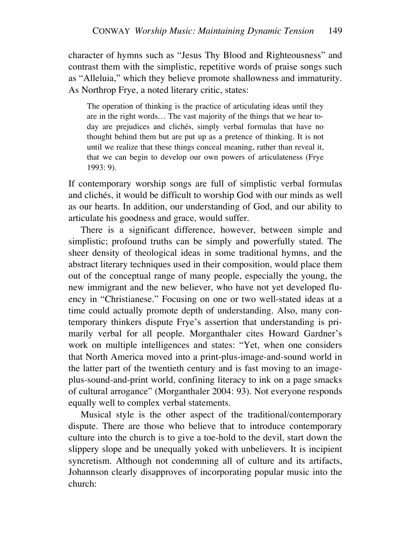character of hymns such as "Jesus Thy Blood and Righteousness" and contrast them with the simplistic, repetitive words of praise songs such as "Alleluia," which they believe promote shallowness and immaturity. As Northrop Frye, a noted literary critic, states:

The operation of thinking is the practice of articulating ideas until they are in the right words… The vast majority of the things that we hear today are prejudices and clichés, simply verbal formulas that have no thought behind them but are put up as a pretence of thinking. It is not until we realize that these things conceal meaning, rather than reveal it, that we can begin to develop our own powers of articulateness (Frye 1993: 9).

If contemporary worship songs are full of simplistic verbal formulas and clichés, it would be difficult to worship God with our minds as well as our hearts. In addition, our understanding of God, and our ability to articulate his goodness and grace, would suffer.

There is a significant difference, however, between simple and simplistic; profound truths can be simply and powerfully stated. The sheer density of theological ideas in some traditional hymns, and the abstract literary techniques used in their composition, would place them out of the conceptual range of many people, especially the young, the new immigrant and the new believer, who have not yet developed fluency in "Christianese." Focusing on one or two well-stated ideas at a time could actually promote depth of understanding. Also, many contemporary thinkers dispute Frye's assertion that understanding is primarily verbal for all people. Morganthaler cites Howard Gardner's work on multiple intelligences and states: "Yet, when one considers that North America moved into a print-plus-image-and-sound world in the latter part of the twentieth century and is fast moving to an imageplus-sound-and-print world, confining literacy to ink on a page smacks of cultural arrogance" (Morganthaler 2004: 93). Not everyone responds equally well to complex verbal statements.

Musical style is the other aspect of the traditional/contemporary dispute. There are those who believe that to introduce contemporary culture into the church is to give a toe-hold to the devil, start down the slippery slope and be unequally yoked with unbelievers. It is incipient syncretism. Although not condemning all of culture and its artifacts, Johannson clearly disapproves of incorporating popular music into the church: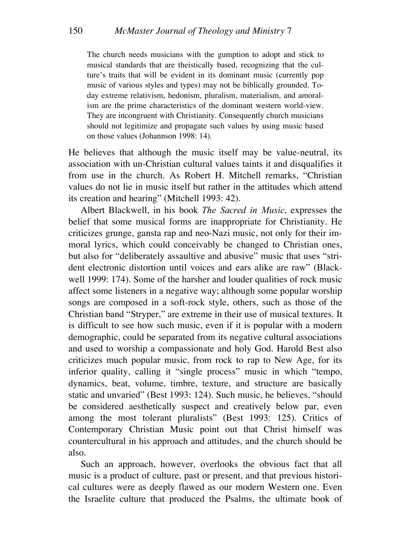The church needs musicians with the gumption to adopt and stick to musical standards that are theistically based, recognizing that the culture's traits that will be evident in its dominant music (currently pop music of various styles and types) may not be biblically grounded. Today extreme relativism, hedonism, pluralism, materialism, and amoralism are the prime characteristics of the dominant western world-view. They are incongruent with Christianity. Consequently church musicians should not legitimize and propagate such values by using music based on those values (Johannson 1998: 14).

He believes that although the music itself may be value-neutral, its association with un-Christian cultural values taints it and disqualifies it from use in the church. As Robert H. Mitchell remarks, "Christian values do not lie in music itself but rather in the attitudes which attend its creation and hearing" (Mitchell 1993: 42).

Albert Blackwell, in his book *The Sacred in Music*, expresses the belief that some musical forms are inappropriate for Christianity. He criticizes grunge, gansta rap and neo-Nazi music, not only for their immoral lyrics, which could conceivably be changed to Christian ones, but also for "deliberately assaultive and abusive" music that uses "strident electronic distortion until voices and ears alike are raw" (Blackwell 1999: 174). Some of the harsher and louder qualities of rock music affect some listeners in a negative way; although some popular worship songs are composed in a soft-rock style, others, such as those of the Christian band "Stryper," are extreme in their use of musical textures. It is difficult to see how such music, even if it is popular with a modern demographic, could be separated from its negative cultural associations and used to worship a compassionate and holy God. Harold Best also criticizes much popular music, from rock to rap to New Age, for its inferior quality, calling it "single process" music in which "tempo, dynamics, beat, volume, timbre, texture, and structure are basically static and unvaried" (Best 1993: 124). Such music, he believes, "should be considered aesthetically suspect and creatively below par, even among the most tolerant pluralists" (Best 1993: 125). Critics of Contemporary Christian Music point out that Christ himself was countercultural in his approach and attitudes, and the church should be also.

Such an approach, however, overlooks the obvious fact that all music is a product of culture, past or present, and that previous historical cultures were as deeply flawed as our modern Western one. Even the Israelite culture that produced the Psalms, the ultimate book of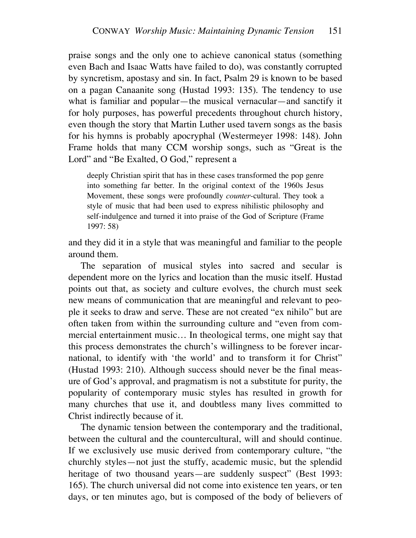praise songs and the only one to achieve canonical status (something even Bach and Isaac Watts have failed to do), was constantly corrupted by syncretism, apostasy and sin. In fact, Psalm 29 is known to be based on a pagan Canaanite song (Hustad 1993: 135). The tendency to use what is familiar and popular—the musical vernacular—and sanctify it for holy purposes, has powerful precedents throughout church history, even though the story that Martin Luther used tavern songs as the basis for his hymns is probably apocryphal (Westermeyer 1998: 148). John Frame holds that many CCM worship songs, such as "Great is the Lord" and "Be Exalted, O God," represent a

deeply Christian spirit that has in these cases transformed the pop genre into something far better. In the original context of the 1960s Jesus Movement, these songs were profoundly *counter*-cultural. They took a style of music that had been used to express nihilistic philosophy and self-indulgence and turned it into praise of the God of Scripture (Frame 1997: 58)

and they did it in a style that was meaningful and familiar to the people around them.

The separation of musical styles into sacred and secular is dependent more on the lyrics and location than the music itself. Hustad points out that, as society and culture evolves, the church must seek new means of communication that are meaningful and relevant to people it seeks to draw and serve. These are not created "ex nihilo" but are often taken from within the surrounding culture and "even from commercial entertainment music… In theological terms, one might say that this process demonstrates the church's willingness to be forever incarnational, to identify with 'the world' and to transform it for Christ" (Hustad 1993: 210). Although success should never be the final measure of God's approval, and pragmatism is not a substitute for purity, the popularity of contemporary music styles has resulted in growth for many churches that use it, and doubtless many lives committed to Christ indirectly because of it.

The dynamic tension between the contemporary and the traditional, between the cultural and the countercultural, will and should continue. If we exclusively use music derived from contemporary culture, "the churchly styles—not just the stuffy, academic music, but the splendid heritage of two thousand years—are suddenly suspect" (Best 1993: 165). The church universal did not come into existence ten years, or ten days, or ten minutes ago, but is composed of the body of believers of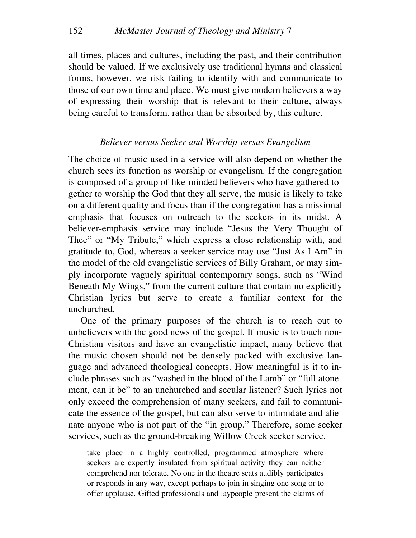all times, places and cultures, including the past, and their contribution should be valued. If we exclusively use traditional hymns and classical forms, however, we risk failing to identify with and communicate to those of our own time and place. We must give modern believers a way of expressing their worship that is relevant to their culture, always being careful to transform, rather than be absorbed by, this culture.

#### *Believer versus Seeker and Worship versus Evangelism*

The choice of music used in a service will also depend on whether the church sees its function as worship or evangelism. If the congregation is composed of a group of like-minded believers who have gathered together to worship the God that they all serve, the music is likely to take on a different quality and focus than if the congregation has a missional emphasis that focuses on outreach to the seekers in its midst. A believer-emphasis service may include "Jesus the Very Thought of Thee" or "My Tribute," which express a close relationship with, and gratitude to, God, whereas a seeker service may use "Just As I Am" in the model of the old evangelistic services of Billy Graham, or may simply incorporate vaguely spiritual contemporary songs, such as "Wind Beneath My Wings," from the current culture that contain no explicitly Christian lyrics but serve to create a familiar context for the unchurched.

One of the primary purposes of the church is to reach out to unbelievers with the good news of the gospel. If music is to touch non-Christian visitors and have an evangelistic impact, many believe that the music chosen should not be densely packed with exclusive language and advanced theological concepts. How meaningful is it to include phrases such as "washed in the blood of the Lamb" or "full atonement, can it be" to an unchurched and secular listener? Such lyrics not only exceed the comprehension of many seekers, and fail to communicate the essence of the gospel, but can also serve to intimidate and alienate anyone who is not part of the "in group." Therefore, some seeker services, such as the ground-breaking Willow Creek seeker service,

take place in a highly controlled, programmed atmosphere where seekers are expertly insulated from spiritual activity they can neither comprehend nor tolerate. No one in the theatre seats audibly participates or responds in any way, except perhaps to join in singing one song or to offer applause. Gifted professionals and laypeople present the claims of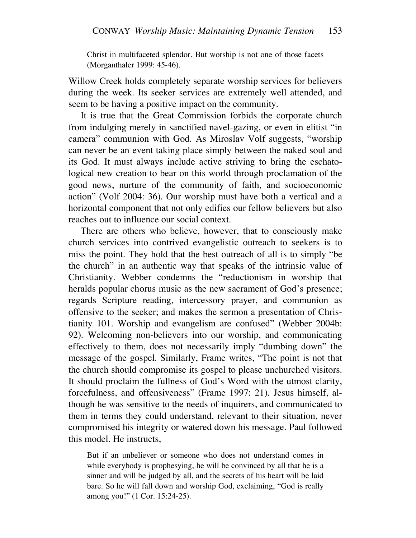Christ in multifaceted splendor. But worship is not one of those facets (Morganthaler 1999: 45-46).

Willow Creek holds completely separate worship services for believers during the week. Its seeker services are extremely well attended, and seem to be having a positive impact on the community.

It is true that the Great Commission forbids the corporate church from indulging merely in sanctified navel-gazing, or even in elitist "in camera" communion with God. As Miroslav Volf suggests, "worship can never be an event taking place simply between the naked soul and its God. It must always include active striving to bring the eschatological new creation to bear on this world through proclamation of the good news, nurture of the community of faith, and socioeconomic action" (Volf 2004: 36). Our worship must have both a vertical and a horizontal component that not only edifies our fellow believers but also reaches out to influence our social context.

There are others who believe, however, that to consciously make church services into contrived evangelistic outreach to seekers is to miss the point. They hold that the best outreach of all is to simply "be the church" in an authentic way that speaks of the intrinsic value of Christianity. Webber condemns the "reductionism in worship that heralds popular chorus music as the new sacrament of God's presence; regards Scripture reading, intercessory prayer, and communion as offensive to the seeker; and makes the sermon a presentation of Christianity 101. Worship and evangelism are confused" (Webber 2004b: 92). Welcoming non-believers into our worship, and communicating effectively to them, does not necessarily imply "dumbing down" the message of the gospel. Similarly, Frame writes, "The point is not that the church should compromise its gospel to please unchurched visitors. It should proclaim the fullness of God's Word with the utmost clarity, forcefulness, and offensiveness" (Frame 1997: 21). Jesus himself, although he was sensitive to the needs of inquirers, and communicated to them in terms they could understand, relevant to their situation, never compromised his integrity or watered down his message. Paul followed this model. He instructs,

But if an unbeliever or someone who does not understand comes in while everybody is prophesying, he will be convinced by all that he is a sinner and will be judged by all, and the secrets of his heart will be laid bare. So he will fall down and worship God, exclaiming, "God is really among you!" (1 Cor. 15:24-25).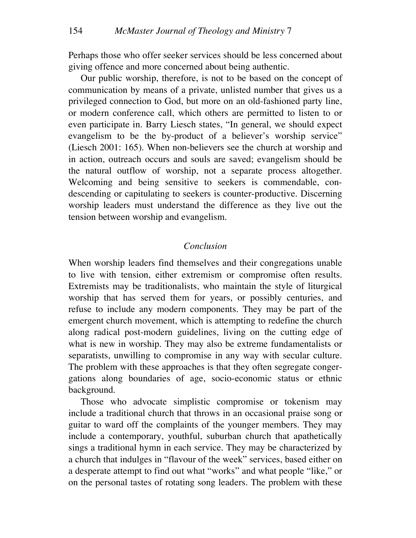Perhaps those who offer seeker services should be less concerned about giving offence and more concerned about being authentic.

Our public worship, therefore, is not to be based on the concept of communication by means of a private, unlisted number that gives us a privileged connection to God, but more on an old-fashioned party line, or modern conference call, which others are permitted to listen to or even participate in. Barry Liesch states, "In general, we should expect evangelism to be the by-product of a believer's worship service" (Liesch 2001: 165). When non-believers see the church at worship and in action, outreach occurs and souls are saved; evangelism should be the natural outflow of worship, not a separate process altogether. Welcoming and being sensitive to seekers is commendable, condescending or capitulating to seekers is counter-productive. Discerning worship leaders must understand the difference as they live out the tension between worship and evangelism.

## *Conclusion*

When worship leaders find themselves and their congregations unable to live with tension, either extremism or compromise often results. Extremists may be traditionalists, who maintain the style of liturgical worship that has served them for years, or possibly centuries, and refuse to include any modern components. They may be part of the emergent church movement, which is attempting to redefine the church along radical post-modern guidelines, living on the cutting edge of what is new in worship. They may also be extreme fundamentalists or separatists, unwilling to compromise in any way with secular culture. The problem with these approaches is that they often segregate congergations along boundaries of age, socio-economic status or ethnic background.

Those who advocate simplistic compromise or tokenism may include a traditional church that throws in an occasional praise song or guitar to ward off the complaints of the younger members. They may include a contemporary, youthful, suburban church that apathetically sings a traditional hymn in each service. They may be characterized by a church that indulges in "flavour of the week" services, based either on a desperate attempt to find out what "works" and what people "like," or on the personal tastes of rotating song leaders. The problem with these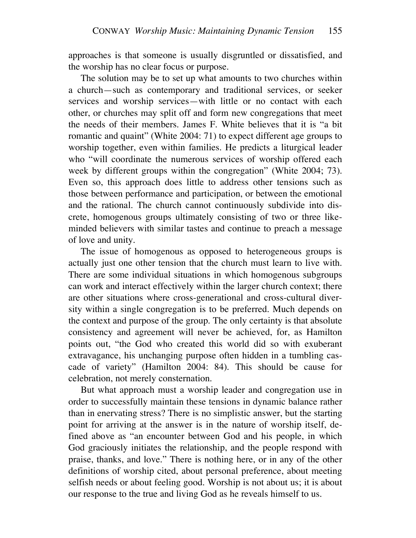approaches is that someone is usually disgruntled or dissatisfied, and the worship has no clear focus or purpose.

The solution may be to set up what amounts to two churches within a church—such as contemporary and traditional services, or seeker services and worship services—with little or no contact with each other, or churches may split off and form new congregations that meet the needs of their members. James F. White believes that it is "a bit romantic and quaint" (White 2004: 71) to expect different age groups to worship together, even within families. He predicts a liturgical leader who "will coordinate the numerous services of worship offered each week by different groups within the congregation" (White 2004; 73). Even so, this approach does little to address other tensions such as those between performance and participation, or between the emotional and the rational. The church cannot continuously subdivide into discrete, homogenous groups ultimately consisting of two or three likeminded believers with similar tastes and continue to preach a message of love and unity.

The issue of homogenous as opposed to heterogeneous groups is actually just one other tension that the church must learn to live with. There are some individual situations in which homogenous subgroups can work and interact effectively within the larger church context; there are other situations where cross-generational and cross-cultural diversity within a single congregation is to be preferred. Much depends on the context and purpose of the group. The only certainty is that absolute consistency and agreement will never be achieved, for, as Hamilton points out, "the God who created this world did so with exuberant extravagance, his unchanging purpose often hidden in a tumbling cascade of variety" (Hamilton 2004: 84). This should be cause for celebration, not merely consternation.

But what approach must a worship leader and congregation use in order to successfully maintain these tensions in dynamic balance rather than in enervating stress? There is no simplistic answer, but the starting point for arriving at the answer is in the nature of worship itself, defined above as "an encounter between God and his people, in which God graciously initiates the relationship, and the people respond with praise, thanks, and love." There is nothing here, or in any of the other definitions of worship cited, about personal preference, about meeting selfish needs or about feeling good. Worship is not about us; it is about our response to the true and living God as he reveals himself to us.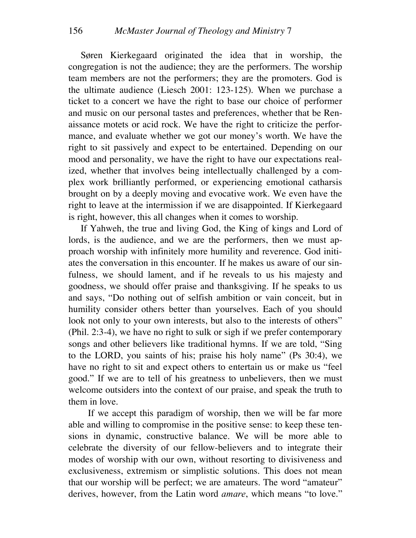Søren Kierkegaard originated the idea that in worship, the congregation is not the audience; they are the performers. The worship team members are not the performers; they are the promoters. God is the ultimate audience (Liesch 2001: 123-125). When we purchase a ticket to a concert we have the right to base our choice of performer and music on our personal tastes and preferences, whether that be Renaissance motets or acid rock. We have the right to criticize the performance, and evaluate whether we got our money's worth. We have the right to sit passively and expect to be entertained. Depending on our mood and personality, we have the right to have our expectations realized, whether that involves being intellectually challenged by a complex work brilliantly performed, or experiencing emotional catharsis brought on by a deeply moving and evocative work. We even have the right to leave at the intermission if we are disappointed. If Kierkegaard is right, however, this all changes when it comes to worship.

If Yahweh, the true and living God, the King of kings and Lord of lords, is the audience, and we are the performers, then we must approach worship with infinitely more humility and reverence. God initiates the conversation in this encounter. If he makes us aware of our sinfulness, we should lament, and if he reveals to us his majesty and goodness, we should offer praise and thanksgiving. If he speaks to us and says, "Do nothing out of selfish ambition or vain conceit, but in humility consider others better than yourselves. Each of you should look not only to your own interests, but also to the interests of others" (Phil. 2:3-4), we have no right to sulk or sigh if we prefer contemporary songs and other believers like traditional hymns. If we are told, "Sing to the LORD, you saints of his; praise his holy name" (Ps 30:4), we have no right to sit and expect others to entertain us or make us "feel good." If we are to tell of his greatness to unbelievers, then we must welcome outsiders into the context of our praise, and speak the truth to them in love.

If we accept this paradigm of worship, then we will be far more able and willing to compromise in the positive sense: to keep these tensions in dynamic, constructive balance. We will be more able to celebrate the diversity of our fellow-believers and to integrate their modes of worship with our own, without resorting to divisiveness and exclusiveness, extremism or simplistic solutions. This does not mean that our worship will be perfect; we are amateurs. The word "amateur" derives, however, from the Latin word *amare*, which means "to love."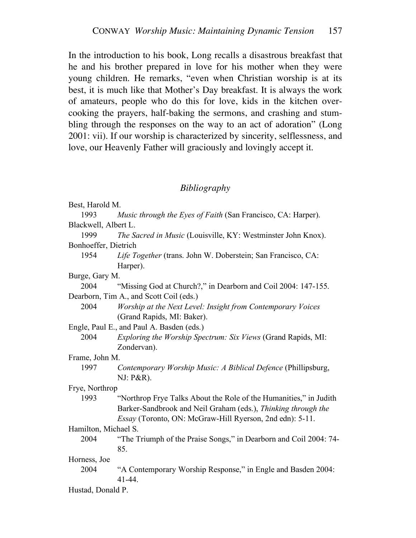In the introduction to his book, Long recalls a disastrous breakfast that he and his brother prepared in love for his mother when they were young children. He remarks, "even when Christian worship is at its best, it is much like that Mother's Day breakfast. It is always the work of amateurs, people who do this for love, kids in the kitchen overcooking the prayers, half-baking the sermons, and crashing and stumbling through the responses on the way to an act of adoration" (Long 2001: vii). If our worship is characterized by sincerity, selflessness, and love, our Heavenly Father will graciously and lovingly accept it.

# *Bibliography*

| Best, Harold M.      |                                                                   |
|----------------------|-------------------------------------------------------------------|
| 1993                 | Music through the Eyes of Faith (San Francisco, CA: Harper).      |
| Blackwell, Albert L. |                                                                   |
| 1999                 | The Sacred in Music (Louisville, KY: Westminster John Knox).      |
| Bonhoeffer, Dietrich |                                                                   |
| 1954                 | Life Together (trans. John W. Doberstein; San Francisco, CA:      |
|                      | Harper).                                                          |
| Burge, Gary M.       |                                                                   |
| 2004                 | "Missing God at Church?," in Dearborn and Coil 2004: 147-155.     |
|                      | Dearborn, Tim A., and Scott Coil (eds.)                           |
| 2004                 | Worship at the Next Level: Insight from Contemporary Voices       |
|                      | (Grand Rapids, MI: Baker).                                        |
|                      | Engle, Paul E., and Paul A. Basden (eds.)                         |
| 2004                 | Exploring the Worship Spectrum: Six Views (Grand Rapids, MI:      |
|                      | Zondervan).                                                       |
| Frame, John M.       |                                                                   |
| 1997                 | Contemporary Worship Music: A Biblical Defence (Phillipsburg,     |
|                      | NJ: P&R).                                                         |
| Frye, Northrop       |                                                                   |
| 1993                 | "Northrop Frye Talks About the Role of the Humanities," in Judith |
|                      | Barker-Sandbrook and Neil Graham (eds.), Thinking through the     |
|                      | Essay (Toronto, ON: McGraw-Hill Ryerson, 2nd edn): 5-11.          |
| Hamilton, Michael S. |                                                                   |
| 2004                 | "The Triumph of the Praise Songs," in Dearborn and Coil 2004: 74- |
|                      | 85.                                                               |
| Horness, Joe         |                                                                   |
| 2004                 | "A Contemporary Worship Response," in Engle and Basden 2004:      |
|                      | $41 - 44$ .                                                       |

Hustad, Donald P.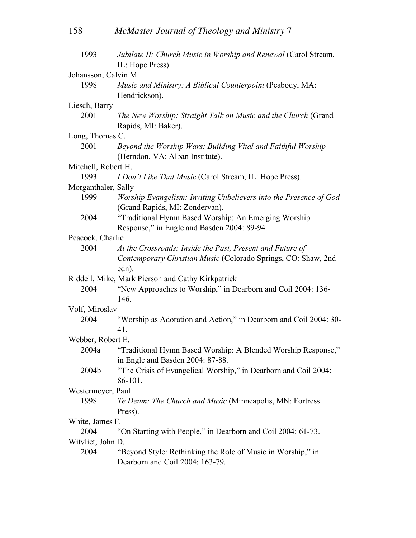| 1993                                              | Jubilate II: Church Music in Worship and Renewal (Carol Stream,<br>IL: Hope Press). |  |  |  |
|---------------------------------------------------|-------------------------------------------------------------------------------------|--|--|--|
| Johansson, Calvin M.                              |                                                                                     |  |  |  |
| 1998                                              | Music and Ministry: A Biblical Counterpoint (Peabody, MA:<br>Hendrickson).          |  |  |  |
| Liesch, Barry                                     |                                                                                     |  |  |  |
| 2001                                              | The New Worship: Straight Talk on Music and the Church (Grand                       |  |  |  |
|                                                   | Rapids, MI: Baker).                                                                 |  |  |  |
| Long, Thomas C.                                   |                                                                                     |  |  |  |
| 2001                                              | Beyond the Worship Wars: Building Vital and Faithful Worship                        |  |  |  |
|                                                   | (Herndon, VA: Alban Institute).                                                     |  |  |  |
| Mitchell, Robert H.                               |                                                                                     |  |  |  |
| 1993                                              | I Don't Like That Music (Carol Stream, IL: Hope Press).                             |  |  |  |
| Morganthaler, Sally                               |                                                                                     |  |  |  |
| 1999                                              | Worship Evangelism: Inviting Unbelievers into the Presence of God                   |  |  |  |
|                                                   | (Grand Rapids, MI: Zondervan).                                                      |  |  |  |
| 2004                                              | "Traditional Hymn Based Worship: An Emerging Worship                                |  |  |  |
|                                                   | Response," in Engle and Basden 2004: 89-94.                                         |  |  |  |
| Peacock, Charlie                                  |                                                                                     |  |  |  |
| 2004                                              | At the Crossroads: Inside the Past, Present and Future of                           |  |  |  |
|                                                   | Contemporary Christian Music (Colorado Springs, CO: Shaw, 2nd                       |  |  |  |
|                                                   | edn).                                                                               |  |  |  |
| Riddell, Mike, Mark Pierson and Cathy Kirkpatrick |                                                                                     |  |  |  |
| 2004                                              | "New Approaches to Worship," in Dearborn and Coil 2004: 136-                        |  |  |  |
|                                                   | 146.                                                                                |  |  |  |
| Volf, Miroslav                                    |                                                                                     |  |  |  |
| 2004                                              | "Worship as Adoration and Action," in Dearborn and Coil 2004: 30-<br>41.            |  |  |  |
| Webber, Robert E.                                 |                                                                                     |  |  |  |
| 2004a                                             | "Traditional Hymn Based Worship: A Blended Worship Response,"                       |  |  |  |
|                                                   | in Engle and Basden 2004: 87-88.                                                    |  |  |  |
| 2004b                                             | "The Crisis of Evangelical Worship," in Dearborn and Coil 2004:                     |  |  |  |
|                                                   | 86-101.                                                                             |  |  |  |
| Westermeyer, Paul                                 |                                                                                     |  |  |  |
| 1998                                              | Te Deum: The Church and Music (Minneapolis, MN: Fortress                            |  |  |  |
|                                                   | Press).                                                                             |  |  |  |
| White, James F.                                   |                                                                                     |  |  |  |
| 2004                                              | "On Starting with People," in Dearborn and Coil 2004: 61-73.                        |  |  |  |
| Witvliet, John D.                                 |                                                                                     |  |  |  |
| 2004                                              | "Beyond Style: Rethinking the Role of Music in Worship," in                         |  |  |  |
|                                                   | Dearborn and Coil 2004: 163-79.                                                     |  |  |  |